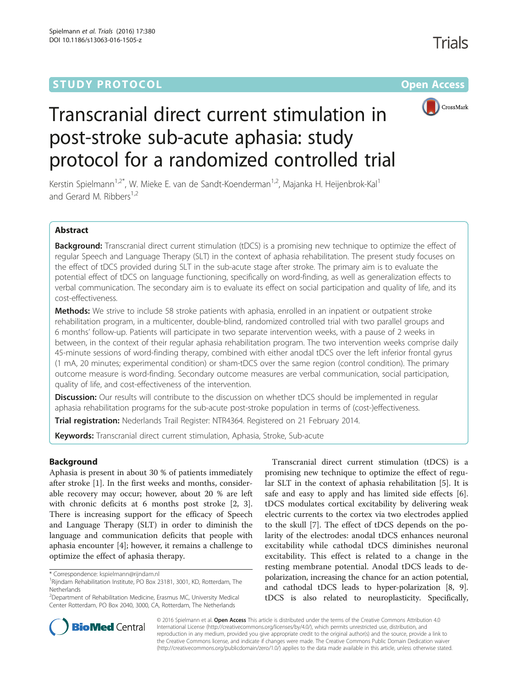## **STUDY PROTOCOL CONSUMING THE RESERVE ACCESS**

Trials



# Transcranial direct current stimulation in post-stroke sub-acute aphasia: study protocol for a randomized controlled trial

Kerstin Spielmann<sup>1,2\*</sup>, W. Mieke E. van de Sandt-Koenderman<sup>1,2</sup>, Majanka H. Heijenbrok-Kal<sup>1</sup> and Gerard M. Ribbers<sup>1,2</sup>

### Abstract

Background: Transcranial direct current stimulation (tDCS) is a promising new technique to optimize the effect of regular Speech and Language Therapy (SLT) in the context of aphasia rehabilitation. The present study focuses on the effect of tDCS provided during SLT in the sub-acute stage after stroke. The primary aim is to evaluate the potential effect of tDCS on language functioning, specifically on word-finding, as well as generalization effects to verbal communication. The secondary aim is to evaluate its effect on social participation and quality of life, and its cost-effectiveness.

**Methods:** We strive to include 58 stroke patients with aphasia, enrolled in an inpatient or outpatient stroke rehabilitation program, in a multicenter, double-blind, randomized controlled trial with two parallel groups and 6 months' follow-up. Patients will participate in two separate intervention weeks, with a pause of 2 weeks in between, in the context of their regular aphasia rehabilitation program. The two intervention weeks comprise daily 45-minute sessions of word-finding therapy, combined with either anodal tDCS over the left inferior frontal gyrus (1 mA, 20 minutes; experimental condition) or sham-tDCS over the same region (control condition). The primary outcome measure is word-finding. Secondary outcome measures are verbal communication, social participation, quality of life, and cost-effectiveness of the intervention.

**Discussion:** Our results will contribute to the discussion on whether tDCS should be implemented in regular aphasia rehabilitation programs for the sub-acute post-stroke population in terms of (cost-)effectiveness.

Trial registration: Nederlands Trail Register: [NTR4364](http://www.trialregister.nl/trialreg/admin/rctview.asp?TC=4364). Registered on 21 February 2014.

Keywords: Transcranial direct current stimulation, Aphasia, Stroke, Sub-acute

### Background

Aphasia is present in about 30 % of patients immediately after stroke [[1\]](#page-5-0). In the first weeks and months, considerable recovery may occur; however, about 20 % are left with chronic deficits at 6 months post stroke [[2, 3](#page-5-0)]. There is increasing support for the efficacy of Speech and Language Therapy (SLT) in order to diminish the language and communication deficits that people with aphasia encounter [\[4](#page-5-0)]; however, it remains a challenge to optimize the effect of aphasia therapy.

Transcranial direct current stimulation (tDCS) is a promising new technique to optimize the effect of regular SLT in the context of aphasia rehabilitation [\[5](#page-5-0)]. It is safe and easy to apply and has limited side effects [\[6](#page-6-0)]. tDCS modulates cortical excitability by delivering weak electric currents to the cortex via two electrodes applied to the skull [\[7](#page-6-0)]. The effect of tDCS depends on the polarity of the electrodes: anodal tDCS enhances neuronal excitability while cathodal tDCS diminishes neuronal excitability. This effect is related to a change in the resting membrane potential. Anodal tDCS leads to depolarization, increasing the chance for an action potential, and cathodal tDCS leads to hyper-polarization [[8](#page-6-0), [9](#page-6-0)]. tDCS is also related to neuroplasticity. Specifically,



© 2016 Spielmann et al. Open Access This article is distributed under the terms of the Creative Commons Attribution 4.0 International License [\(http://creativecommons.org/licenses/by/4.0/](http://creativecommons.org/licenses/by/4.0/)), which permits unrestricted use, distribution, and reproduction in any medium, provided you give appropriate credit to the original author(s) and the source, provide a link to the Creative Commons license, and indicate if changes were made. The Creative Commons Public Domain Dedication waiver [\(http://creativecommons.org/publicdomain/zero/1.0/](http://creativecommons.org/publicdomain/zero/1.0/)) applies to the data made available in this article, unless otherwise stated.

<sup>\*</sup> Correspondence: [kspielmann@rijndam.nl](mailto:kspielmann@rijndam.nl) <sup>1</sup>

<sup>&</sup>lt;sup>1</sup>Rijndam Rehabilitation Institute, PO Box 23181, 3001, KD, Rotterdam, The Netherlands

<sup>&</sup>lt;sup>2</sup> Department of Rehabilitation Medicine, Erasmus MC, University Medical Center Rotterdam, PO Box 2040, 3000, CA, Rotterdam, The Netherlands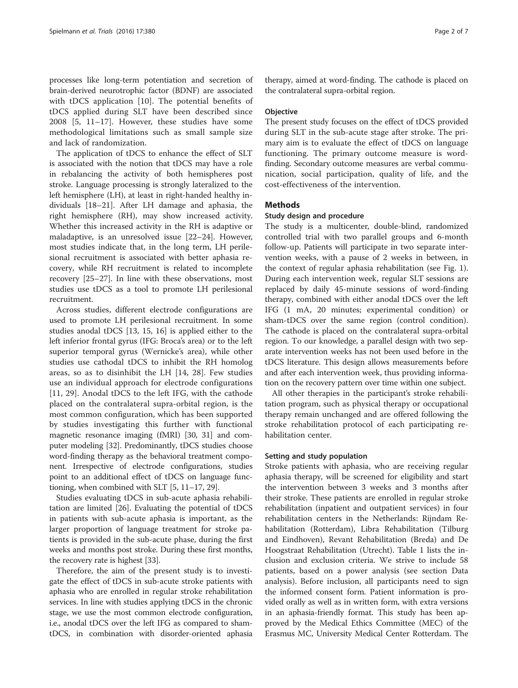processes like long-term potentiation and secretion of brain-derived neurotrophic factor (BDNF) are associated with tDCS application [[10](#page-6-0)]. The potential benefits of tDCS applied during SLT have been described since 2008 [[5,](#page-5-0) [11](#page-6-0)–[17](#page-6-0)]. However, these studies have some methodological limitations such as small sample size and lack of randomization.

The application of tDCS to enhance the effect of SLT is associated with the notion that tDCS may have a role in rebalancing the activity of both hemispheres post stroke. Language processing is strongly lateralized to the left hemisphere (LH), at least in right-handed healthy individuals [\[18](#page-6-0)–[21\]](#page-6-0). After LH damage and aphasia, the right hemisphere (RH), may show increased activity. Whether this increased activity in the RH is adaptive or maladaptive, is an unresolved issue [[22](#page-6-0)–[24](#page-6-0)]. However, most studies indicate that, in the long term, LH perilesional recruitment is associated with better aphasia recovery, while RH recruitment is related to incomplete recovery [[25](#page-6-0)–[27](#page-6-0)]. In line with these observations, most studies use tDCS as a tool to promote LH perilesional recruitment.

Across studies, different electrode configurations are used to promote LH perilesional recruitment. In some studies anodal tDCS [\[13, 15](#page-6-0), [16\]](#page-6-0) is applied either to the left inferior frontal gyrus (IFG: Broca's area) or to the left superior temporal gyrus (Wernicke's area), while other studies use cathodal tDCS to inhibit the RH homolog areas, so as to disinhibit the LH [[14, 28](#page-6-0)]. Few studies use an individual approach for electrode configurations [[11, 29](#page-6-0)]. Anodal tDCS to the left IFG, with the cathode placed on the contralateral supra-orbital region, is the most common configuration, which has been supported by studies investigating this further with functional magnetic resonance imaging (fMRI) [\[30](#page-6-0), [31\]](#page-6-0) and computer modeling [[32\]](#page-6-0). Predominantly, tDCS studies choose word-finding therapy as the behavioral treatment component. Irrespective of electrode configurations, studies point to an additional effect of tDCS on language functioning, when combined with SLT [\[5](#page-5-0), [11](#page-6-0)–[17](#page-6-0), [29](#page-6-0)].

Studies evaluating tDCS in sub-acute aphasia rehabilitation are limited [[26\]](#page-6-0). Evaluating the potential of tDCS in patients with sub-acute aphasia is important, as the larger proportion of language treatment for stroke patients is provided in the sub-acute phase, during the first weeks and months post stroke. During these first months, the recovery rate is highest [[33](#page-6-0)].

Therefore, the aim of the present study is to investigate the effect of tDCS in sub-acute stroke patients with aphasia who are enrolled in regular stroke rehabilitation services. In line with studies applying tDCS in the chronic stage, we use the most common electrode configuration, i.e., anodal tDCS over the left IFG as compared to shamtDCS, in combination with disorder-oriented aphasia therapy, aimed at word-finding. The cathode is placed on the contralateral supra-orbital region.

#### **Objective**

The present study focuses on the effect of tDCS provided during SLT in the sub-acute stage after stroke. The primary aim is to evaluate the effect of tDCS on language functioning. The primary outcome measure is wordfinding. Secondary outcome measures are verbal communication, social participation, quality of life, and the cost-effectiveness of the intervention.

#### Methods

#### Study design and procedure

The study is a multicenter, double-blind, randomized controlled trial with two parallel groups and 6-month follow-up. Patients will participate in two separate intervention weeks, with a pause of 2 weeks in between, in the context of regular aphasia rehabilitation (see Fig. [1](#page-2-0)). During each intervention week, regular SLT sessions are replaced by daily 45-minute sessions of word-finding therapy, combined with either anodal tDCS over the left IFG (1 mA, 20 minutes; experimental condition) or sham-tDCS over the same region (control condition). The cathode is placed on the contralateral supra-orbital region. To our knowledge, a parallel design with two separate intervention weeks has not been used before in the tDCS literature. This design allows measurements before and after each intervention week, thus providing information on the recovery pattern over time within one subject.

All other therapies in the participant's stroke rehabilitation program, such as physical therapy or occupational therapy remain unchanged and are offered following the stroke rehabilitation protocol of each participating rehabilitation center.

#### Setting and study population

Stroke patients with aphasia, who are receiving regular aphasia therapy, will be screened for eligibility and start the intervention between 3 weeks and 3 months after their stroke. These patients are enrolled in regular stroke rehabilitation (inpatient and outpatient services) in four rehabilitation centers in the Netherlands: Rijndam Rehabilitation (Rotterdam), Libra Rehabilitation (Tilburg and Eindhoven), Revant Rehabilitation (Breda) and De Hoogstraat Rehabilitation (Utrecht). Table [1](#page-2-0) lists the inclusion and exclusion criteria. We strive to include 58 patients, based on a power analysis (see section Data analysis). Before inclusion, all participants need to sign the informed consent form. Patient information is provided orally as well as in written form, with extra versions in an aphasia-friendly format. This study has been approved by the Medical Ethics Committee (MEC) of the Erasmus MC, University Medical Center Rotterdam. The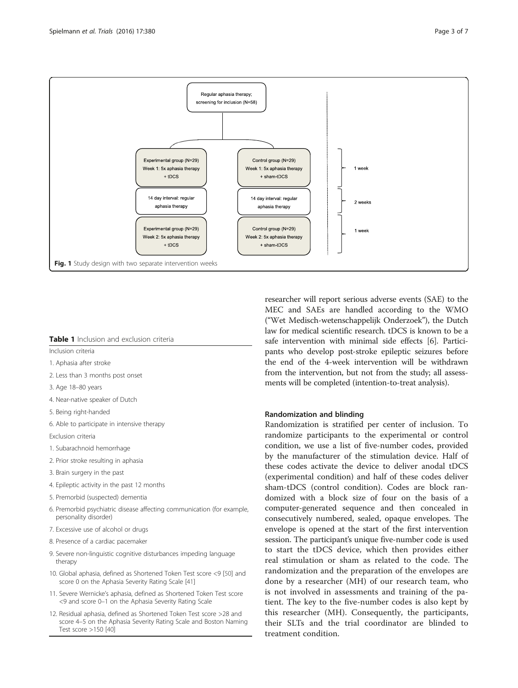<span id="page-2-0"></span>

#### Table 1 Inclusion and exclusion criteria

Inclusion criteria

- 1. Aphasia after stroke
- 2. Less than 3 months post onset
- 3. Age 18–80 years
- 4. Near-native speaker of Dutch
- 5. Being right-handed
- 6. Able to participate in intensive therapy

Exclusion criteria

- 1. Subarachnoid hemorrhage
- 2. Prior stroke resulting in aphasia
- 3. Brain surgery in the past
- 4. Epileptic activity in the past 12 months
- 5. Premorbid (suspected) dementia
- 6. Premorbid psychiatric disease affecting communication (for example, personality disorder)
- 7. Excessive use of alcohol or drugs
- 8. Presence of a cardiac pacemaker
- 9. Severe non-linguistic cognitive disturbances impeding language therapy
- 10. Global aphasia, defined as Shortened Token Test score <9 [\[50](#page-6-0)] and score 0 on the Aphasia Severity Rating Scale [[41\]](#page-6-0)
- 11. Severe Wernicke's aphasia, defined as Shortened Token Test score <9 and score 0–1 on the Aphasia Severity Rating Scale
- 12. Residual aphasia, defined as Shortened Token Test score >28 and score 4–5 on the Aphasia Severity Rating Scale and Boston Naming Test score >150 [\[40\]](#page-6-0)

researcher will report serious adverse events (SAE) to the MEC and SAEs are handled according to the WMO ("Wet Medisch-wetenschappelijk Onderzoek"), the Dutch law for medical scientific research. tDCS is known to be a safe intervention with minimal side effects [\[6](#page-6-0)]. Participants who develop post-stroke epileptic seizures before the end of the 4-week intervention will be withdrawn from the intervention, but not from the study; all assessments will be completed (intention-to-treat analysis).

#### Randomization and blinding

Randomization is stratified per center of inclusion. To randomize participants to the experimental or control condition, we use a list of five-number codes, provided by the manufacturer of the stimulation device. Half of these codes activate the device to deliver anodal tDCS (experimental condition) and half of these codes deliver sham-tDCS (control condition). Codes are block randomized with a block size of four on the basis of a computer-generated sequence and then concealed in consecutively numbered, sealed, opaque envelopes. The envelope is opened at the start of the first intervention session. The participant's unique five-number code is used to start the tDCS device, which then provides either real stimulation or sham as related to the code. The randomization and the preparation of the envelopes are done by a researcher (MH) of our research team, who is not involved in assessments and training of the patient. The key to the five-number codes is also kept by this researcher (MH). Consequently, the participants, their SLTs and the trial coordinator are blinded to treatment condition.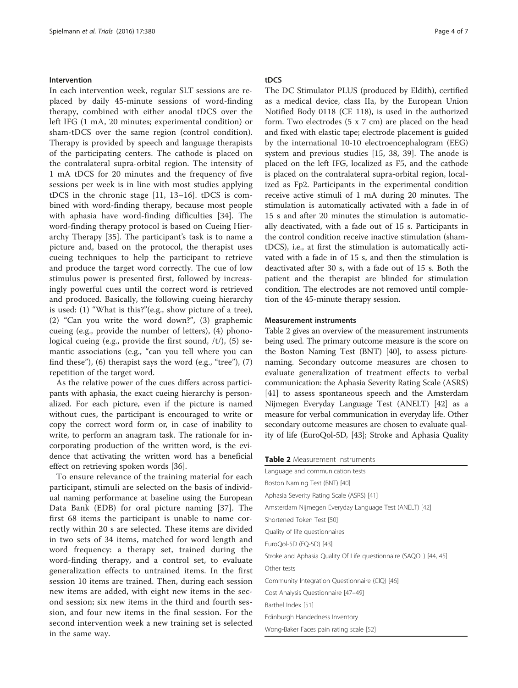#### Intervention

In each intervention week, regular SLT sessions are replaced by daily 45-minute sessions of word-finding therapy, combined with either anodal tDCS over the left IFG (1 mA, 20 minutes; experimental condition) or sham-tDCS over the same region (control condition). Therapy is provided by speech and language therapists of the participating centers. The cathode is placed on the contralateral supra-orbital region. The intensity of 1 mA tDCS for 20 minutes and the frequency of five sessions per week is in line with most studies applying tDCS in the chronic stage [\[11](#page-6-0), [13](#page-6-0)–[16](#page-6-0)]. tDCS is combined with word-finding therapy, because most people with aphasia have word-finding difficulties [[34](#page-6-0)]. The word-finding therapy protocol is based on Cueing Hierarchy Therapy [\[35](#page-6-0)]. The participant's task is to name a picture and, based on the protocol, the therapist uses cueing techniques to help the participant to retrieve and produce the target word correctly. The cue of low stimulus power is presented first, followed by increasingly powerful cues until the correct word is retrieved and produced. Basically, the following cueing hierarchy is used: (1) "What is this?"(e.g., show picture of a tree), (2) "Can you write the word down?", (3) graphemic cueing (e.g., provide the number of letters), (4) phonological cueing (e.g., provide the first sound,  $/t/$ ), (5) semantic associations (e.g., "can you tell where you can find these"),  $(6)$  therapist says the word  $(e.g., "tree"), (7)$ repetition of the target word.

As the relative power of the cues differs across participants with aphasia, the exact cueing hierarchy is personalized. For each picture, even if the picture is named without cues, the participant is encouraged to write or copy the correct word form or, in case of inability to write, to perform an anagram task. The rationale for incorporating production of the written word, is the evidence that activating the written word has a beneficial effect on retrieving spoken words [[36\]](#page-6-0).

To ensure relevance of the training material for each participant, stimuli are selected on the basis of individual naming performance at baseline using the European Data Bank (EDB) for oral picture naming [\[37](#page-6-0)]. The first 68 items the participant is unable to name correctly within 20 s are selected. These items are divided in two sets of 34 items, matched for word length and word frequency: a therapy set, trained during the word-finding therapy, and a control set, to evaluate generalization effects to untrained items. In the first session 10 items are trained. Then, during each session new items are added, with eight new items in the second session; six new items in the third and fourth session, and four new items in the final session. For the second intervention week a new training set is selected in the same way.

#### tDCS

The DC Stimulator PLUS (produced by Eldith), certified as a medical device, class IIa, by the European Union Notified Body 0118 (CE 118), is used in the authorized form. Two electrodes (5 x 7 cm) are placed on the head and fixed with elastic tape; electrode placement is guided by the international 10-10 electroencephalogram (EEG) system and previous studies [[15, 38, 39](#page-6-0)]. The anode is placed on the left IFG, localized as F5, and the cathode is placed on the contralateral supra-orbital region, localized as Fp2. Participants in the experimental condition receive active stimuli of 1 mA during 20 minutes. The stimulation is automatically activated with a fade in of 15 s and after 20 minutes the stimulation is automatically deactivated, with a fade out of 15 s. Participants in the control condition receive inactive stimulation (shamtDCS), i.e., at first the stimulation is automatically activated with a fade in of 15 s, and then the stimulation is deactivated after 30 s, with a fade out of 15 s. Both the patient and the therapist are blinded for stimulation condition. The electrodes are not removed until completion of the 45-minute therapy session.

#### Measurement instruments

Table 2 gives an overview of the measurement instruments being used. The primary outcome measure is the score on the Boston Naming Test (BNT) [\[40\]](#page-6-0), to assess picturenaming. Secondary outcome measures are chosen to evaluate generalization of treatment effects to verbal communication: the Aphasia Severity Rating Scale (ASRS) [[41](#page-6-0)] to assess spontaneous speech and the Amsterdam Nijmegen Everyday Language Test (ANELT) [\[42\]](#page-6-0) as a measure for verbal communication in everyday life. Other secondary outcome measures are chosen to evaluate quality of life (EuroQol-5D, [[43\]](#page-6-0); Stroke and Aphasia Quality

| <b>Table 2</b> Measurement instruments |  |
|----------------------------------------|--|
|----------------------------------------|--|

| Language and communication tests                                  |
|-------------------------------------------------------------------|
| Boston Naming Test (BNT) [40]                                     |
| Aphasia Severity Rating Scale (ASRS) [41]                         |
| Amsterdam Nijmegen Everyday Language Test (ANELT) [42]            |
| Shortened Token Test [50]                                         |
| Quality of life questionnaires                                    |
| EuroQol-5D (EQ-5D) [43]                                           |
| Stroke and Aphasia Quality Of Life questionnaire (SAQOL) [44, 45] |
| Other tests                                                       |
| Community Integration Questionnaire (CIQ) [46]                    |
| Cost Analysis Questionnaire [47-49]                               |
| Barthel Index [51]                                                |
| Edinburgh Handedness Inventory                                    |
| Wong-Baker Faces pain rating scale [52]                           |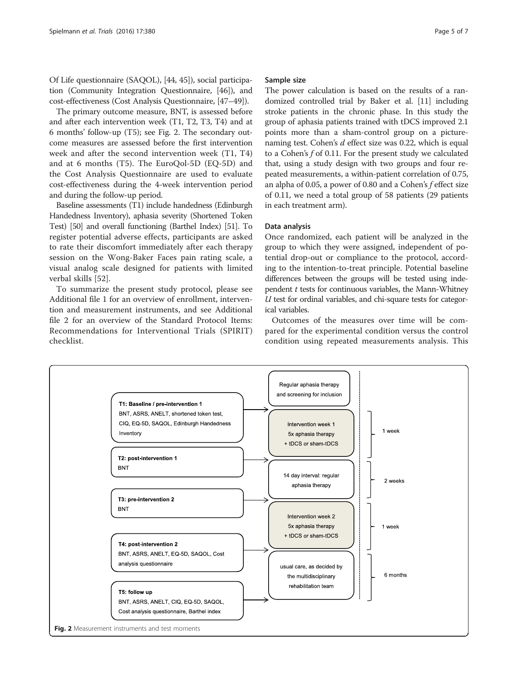Of Life questionnaire (SAQOL), [[44](#page-6-0), [45\]](#page-6-0)), social participation (Community Integration Questionnaire, [\[46\]](#page-6-0)), and cost-effectiveness (Cost Analysis Questionnaire, [\[47](#page-6-0)–[49](#page-6-0)]).

The primary outcome measure, BNT, is assessed before and after each intervention week (T1, T2, T3, T4) and at 6 months' follow-up (T5); see Fig. 2. The secondary outcome measures are assessed before the first intervention week and after the second intervention week (T1, T4) and at 6 months (T5). The EuroQol-5D (EQ-5D) and the Cost Analysis Questionnaire are used to evaluate cost-effectiveness during the 4-week intervention period and during the follow-up period.

Baseline assessments (T1) include handedness (Edinburgh Handedness Inventory), aphasia severity (Shortened Token Test) [\[50\]](#page-6-0) and overall functioning (Barthel Index) [\[51](#page-6-0)]. To register potential adverse effects, participants are asked to rate their discomfort immediately after each therapy session on the Wong-Baker Faces pain rating scale, a visual analog scale designed for patients with limited verbal skills [[52\]](#page-6-0).

To summarize the present study protocol, please see Additional file [1](#page-5-0) for an overview of enrollment, intervention and measurement instruments, and see Additional file [2](#page-5-0) for an overview of the Standard Protocol Items: Recommendations for Interventional Trials (SPIRIT) checklist.

#### Sample size

The power calculation is based on the results of a randomized controlled trial by Baker et al. [\[11\]](#page-6-0) including stroke patients in the chronic phase. In this study the group of aphasia patients trained with tDCS improved 2.1 points more than a sham-control group on a picturenaming test. Cohen's d effect size was 0.22, which is equal to a Cohen's f of 0.11. For the present study we calculated that, using a study design with two groups and four repeated measurements, a within-patient correlation of 0.75, an alpha of 0.05, a power of 0.80 and a Cohen's f effect size of 0.11, we need a total group of 58 patients (29 patients in each treatment arm).

#### Data analysis

Once randomized, each patient will be analyzed in the group to which they were assigned, independent of potential drop-out or compliance to the protocol, according to the intention-to-treat principle. Potential baseline differences between the groups will be tested using independent  $t$  tests for continuous variables, the Mann-Whitney U test for ordinal variables, and chi-square tests for categorical variables.

Outcomes of the measures over time will be compared for the experimental condition versus the control condition using repeated measurements analysis. This

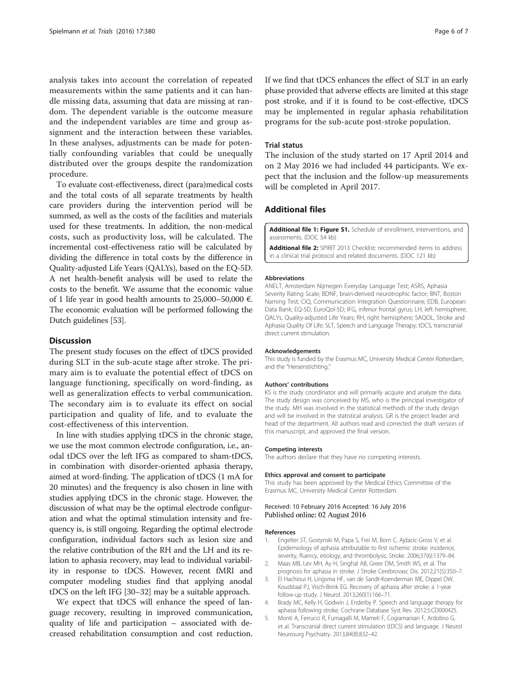<span id="page-5-0"></span>analysis takes into account the correlation of repeated measurements within the same patients and it can handle missing data, assuming that data are missing at random. The dependent variable is the outcome measure and the independent variables are time and group assignment and the interaction between these variables. In these analyses, adjustments can be made for potentially confounding variables that could be unequally distributed over the groups despite the randomization procedure.

To evaluate cost-effectiveness, direct (para)medical costs and the total costs of all separate treatments by health care providers during the intervention period will be summed, as well as the costs of the facilities and materials used for these treatments. In addition, the non-medical costs, such as productivity loss, will be calculated. The incremental cost-effectiveness ratio will be calculated by dividing the difference in total costs by the difference in Quality-adjusted Life Years (QALYs), based on the EQ-5D. A net health-benefit analysis will be used to relate the costs to the benefit. We assume that the economic value of 1 life year in good health amounts to 25,000–50,000  $\epsilon$ . The economic evaluation will be performed following the Dutch guidelines [\[53\]](#page-6-0).

#### **Discussion**

The present study focuses on the effect of tDCS provided during SLT in the sub-acute stage after stroke. The primary aim is to evaluate the potential effect of tDCS on language functioning, specifically on word-finding, as well as generalization effects to verbal communication. The secondary aim is to evaluate its effect on social participation and quality of life, and to evaluate the cost-effectiveness of this intervention.

In line with studies applying tDCS in the chronic stage, we use the most common electrode configuration, i.e., anodal tDCS over the left IFG as compared to sham-tDCS, in combination with disorder-oriented aphasia therapy, aimed at word-finding. The application of tDCS (1 mA for 20 minutes) and the frequency is also chosen in line with studies applying tDCS in the chronic stage. However, the discussion of what may be the optimal electrode configuration and what the optimal stimulation intensity and frequency is, is still ongoing. Regarding the optimal electrode configuration, individual factors such as lesion size and the relative contribution of the RH and the LH and its relation to aphasia recovery, may lead to individual variability in response to tDCS. However, recent fMRI and computer modeling studies find that applying anodal tDCS on the left IFG [[30](#page-6-0)–[32\]](#page-6-0) may be a suitable approach.

We expect that tDCS will enhance the speed of language recovery, resulting in improved communication, quality of life and participation – associated with decreased rehabilitation consumption and cost reduction. If we find that tDCS enhances the effect of SLT in an early phase provided that adverse effects are limited at this stage post stroke, and if it is found to be cost-effective, tDCS may be implemented in regular aphasia rehabilitation programs for the sub-acute post-stroke population.

#### Trial status

The inclusion of the study started on 17 April 2014 and on 2 May 2016 we had included 44 participants. We expect that the inclusion and the follow-up measurements will be completed in April 2017.

#### Additional files

[Additional file 1: Figure S1.](dx.doi.org/10.1186/s13063-016-1505-z) Schedule of enrollment, interventions, and assessments. (DOC 54 kb)

[Additional file 2:](dx.doi.org/10.1186/s13063-016-1505-z) SPIRIT 2013 Checklist: recommended items to address in a clinical trial protocol and related documents. (DOC 121 kb)

#### **Abbreviations**

ANELT, Amsterdam Nijmegen Everyday Language Test; ASRS, Aphasia Severity Rating Scale; BDNF, brain-derived neurotrophic factor; BNT, Boston Naming Test; CIQ, Communication Integration Questionnaire; EDB, European Data Bank; EQ-5D, EuroQol-5D; IFG, inferior frontal gyrus; LH, left hemisphere; QALYs, Quality-adjusted Life Years; RH, right hemisphere; SAQOL, Stroke and Aphasia Quality Of Life; SLT, Speech and Language Therapy; tDCS, transcranial direct current stimulation.

#### Acknowledgements

This study is funded by the Erasmus MC, University Medical Center Rotterdam, and the "Hersenstichting."

#### Authors' contributions

KS is the study coordinator and will primarily acquire and analyze the data. The study design was conceived by MS, who is the principal investigator of the study. MH was involved in the statistical methods of the study design and will be involved in the statistical analysis. GR is the project leader and head of the department. All authors read and corrected the draft version of this manuscript, and approved the final version.

#### Competing interests

The authors declare that they have no competing interests.

#### Ethics approval and consent to participate

This study has been approved by the Medical Ethics Committee of the Erasmus MC, University Medical Center Rotterdam.

#### Received: 10 February 2016 Accepted: 16 July 2016 Published online: 02 August 2016

#### References

- 1. Engelter ST, Gostynski M, Papa S, Frei M, Born C, Ajdacic-Gross V, et al. Epidemiology of aphasia attributable to first ischemic stroke: incidence, severity, fluency, etiology, and thrombolysis. Stroke. 2006;37(6):1379–84.
- Maas MB, Lev MH, Ay H, Singhal AB, Greer DM, Smith WS, et al. The prognosis for aphasia in stroke. J Stroke Cerebrovasc Dis. 2012;21(5):350–7.
- 3. El Hachioui H, Lingsma HF, van de Sandt-Koenderman ME, Dippel DW, Koudstaal PJ, Visch-Brink EG. Recovery of aphasia after stroke: a 1-year follow-up study. J Neurol. 2013;260(1):166–71.
- 4. Brady MC, Kelly H, Godwin J, Enderby P. Speech and language therapy for aphasia following stroke. Cochrane Database Syst Rev. 2012;5:CD000425.
- 5. Monti A, Ferrucci R, Fumagalli M, Mameli F, Cogiamanian F, Ardolino G, et al. Transcranial direct current stimulation (tDCS) and language. J Neurol Neurosurg Psychiatry. 2013;84(8):832–42.